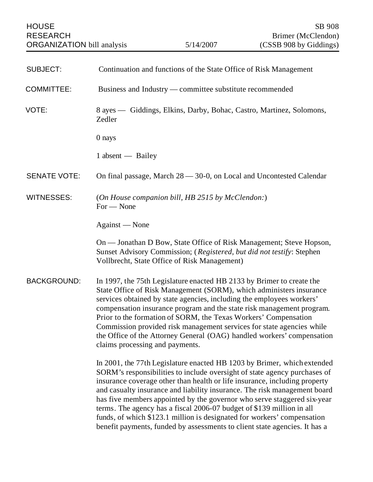| <b>HOUSE</b><br><b>RESEARCH</b><br><b>ORGANIZATION</b> bill analysis |                                                                                | 5/14/2007                                        | SB 908<br>Brimer (McClendon)<br>(CSSB 908 by Giddings)                                                                                                                                                                                                                                                                                                                                                                                                                                                                                                                                                                       |
|----------------------------------------------------------------------|--------------------------------------------------------------------------------|--------------------------------------------------|------------------------------------------------------------------------------------------------------------------------------------------------------------------------------------------------------------------------------------------------------------------------------------------------------------------------------------------------------------------------------------------------------------------------------------------------------------------------------------------------------------------------------------------------------------------------------------------------------------------------------|
|                                                                      |                                                                                |                                                  |                                                                                                                                                                                                                                                                                                                                                                                                                                                                                                                                                                                                                              |
| <b>SUBJECT:</b>                                                      |                                                                                |                                                  | Continuation and functions of the State Office of Risk Management                                                                                                                                                                                                                                                                                                                                                                                                                                                                                                                                                            |
| <b>COMMITTEE:</b>                                                    | Business and Industry — committee substitute recommended                       |                                                  |                                                                                                                                                                                                                                                                                                                                                                                                                                                                                                                                                                                                                              |
| VOTE:                                                                | 8 ayes — Giddings, Elkins, Darby, Bohac, Castro, Martinez, Solomons,<br>Zedler |                                                  |                                                                                                                                                                                                                                                                                                                                                                                                                                                                                                                                                                                                                              |
|                                                                      | 0 nays                                                                         |                                                  |                                                                                                                                                                                                                                                                                                                                                                                                                                                                                                                                                                                                                              |
|                                                                      | 1 absent — Bailey                                                              |                                                  |                                                                                                                                                                                                                                                                                                                                                                                                                                                                                                                                                                                                                              |
| <b>SENATE VOTE:</b>                                                  |                                                                                |                                                  | On final passage, March 28 – 30-0, on Local and Uncontested Calendar                                                                                                                                                                                                                                                                                                                                                                                                                                                                                                                                                         |
| <b>WITNESSES:</b>                                                    | For - None                                                                     | (On House companion bill, HB 2515 by McClendon:) |                                                                                                                                                                                                                                                                                                                                                                                                                                                                                                                                                                                                                              |
|                                                                      | Against — None                                                                 |                                                  |                                                                                                                                                                                                                                                                                                                                                                                                                                                                                                                                                                                                                              |
|                                                                      |                                                                                | Vollbrecht, State Office of Risk Management)     | On — Jonathan D Bow, State Office of Risk Management; Steve Hopson,<br>Sunset Advisory Commission; (Registered, but did not testify: Stephen                                                                                                                                                                                                                                                                                                                                                                                                                                                                                 |
| <b>BACKGROUND:</b>                                                   | claims processing and payments.                                                |                                                  | In 1997, the 75th Legislature enacted HB 2133 by Brimer to create the<br>State Office of Risk Management (SORM), which administers insurance<br>services obtained by state agencies, including the employees workers'<br>compensation insurance program and the state risk management program.<br>Prior to the formation of SORM, the Texas Workers' Compensation<br>Commission provided risk management services for state agencies while<br>the Office of the Attorney General (OAG) handled workers' compensation                                                                                                         |
|                                                                      |                                                                                |                                                  | In 2001, the 77th Legislature enacted HB 1203 by Brimer, which extended<br>SORM's responsibilities to include oversight of state agency purchases of<br>insurance coverage other than health or life insurance, including property<br>and casualty insurance and liability insurance. The risk management board<br>has five members appointed by the governor who serve staggered six-year<br>terms. The agency has a fiscal 2006-07 budget of \$139 million in all<br>funds, of which \$123.1 million is designated for workers' compensation<br>benefit payments, funded by assessments to client state agencies. It has a |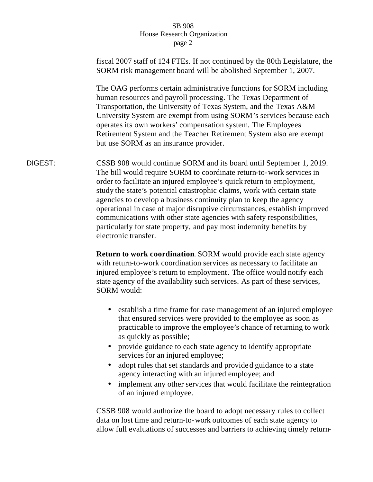| fiscal 2007 staff of 124 FTEs. If not continued by the 80th Legislature, the<br>SORM risk management board will be abolished September 1, 2007.                                                                                                                                                                                                                                                                                                                                                                                                                                                                             |  |  |  |
|-----------------------------------------------------------------------------------------------------------------------------------------------------------------------------------------------------------------------------------------------------------------------------------------------------------------------------------------------------------------------------------------------------------------------------------------------------------------------------------------------------------------------------------------------------------------------------------------------------------------------------|--|--|--|
| The OAG performs certain administrative functions for SORM including<br>human resources and payroll processing. The Texas Department of<br>Transportation, the University of Texas System, and the Texas A&M<br>University System are exempt from using SORM's services because each<br>operates its own workers' compensation system. The Employees<br>Retirement System and the Teacher Retirement System also are exempt<br>but use SORM as an insurance provider.                                                                                                                                                       |  |  |  |
| CSSB 908 would continue SORM and its board until September 1, 2019.<br>The bill would require SORM to coordinate return-to-work services in<br>order to facilitate an injured employee's quick return to employment,<br>study the state's potential catastrophic claims, work with certain state<br>agencies to develop a business continuity plan to keep the agency<br>operational in case of major disruptive circumstances, establish improved<br>communications with other state agencies with safety responsibilities,<br>particularly for state property, and pay most indemnity benefits by<br>electronic transfer. |  |  |  |
| Return to work coordination. SORM would provide each state agency<br>with return-to-work coordination services as necessary to facilitate an<br>injured employee's return to employment. The office would notify each<br>state agency of the availability such services. As part of these services,<br>SORM would:                                                                                                                                                                                                                                                                                                          |  |  |  |
| establish a time frame for case management of an injured employee<br>$\bullet$<br>that ensured services were provided to the employee as soon as<br>practicable to improve the employee's chance of returning to work<br>as quickly as possible;                                                                                                                                                                                                                                                                                                                                                                            |  |  |  |
| provide guidance to each state agency to identify appropriate<br>$\bullet$<br>services for an injured employee;<br>adopt rules that set standards and provided guidance to a state<br>$\bullet$<br>agency interacting with an injured employee; and<br>implement any other services that would facilitate the reintegration                                                                                                                                                                                                                                                                                                 |  |  |  |
|                                                                                                                                                                                                                                                                                                                                                                                                                                                                                                                                                                                                                             |  |  |  |

CSSB 908 would authorize the board to adopt necessary rules to collect data on lost time and return-to-work outcomes of each state agency to allow full evaluations of successes and barriers to achieving timely return-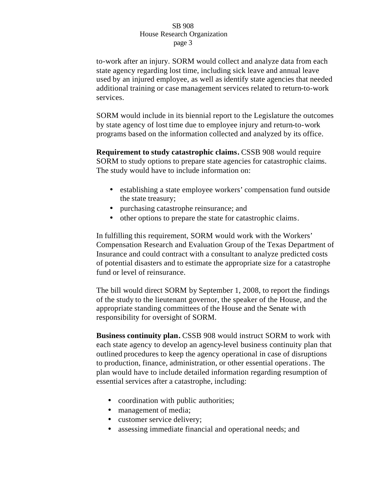to-work after an injury. SORM would collect and analyze data from each state agency regarding lost time, including sick leave and annual leave used by an injured employee, as well as identify state agencies that needed additional training or case management services related to return-to-work services.

SORM would include in its biennial report to the Legislature the outcomes by state agency of lost time due to employee injury and return-to-work programs based on the information collected and analyzed by its office.

**Requirement to study catastrophic claims. CSSB 908 would require** SORM to study options to prepare state agencies for catastrophic claims. The study would have to include information on:

- establishing a state employee workers' compensation fund outside the state treasury;
- purchasing catastrophe reinsurance; and
- other options to prepare the state for catastrophic claims.

In fulfilling this requirement, SORM would work with the Workers' Compensation Research and Evaluation Group of the Texas Department of Insurance and could contract with a consultant to analyze predicted costs of potential disasters and to estimate the appropriate size for a catastrophe fund or level of reinsurance.

The bill would direct SORM by September 1, 2008, to report the findings of the study to the lieutenant governor, the speaker of the House, and the appropriate standing committees of the House and the Senate with responsibility for oversight of SORM.

**Business continuity plan.** CSSB 908 would instruct SORM to work with each state agency to develop an agency-level business continuity plan that outlined procedures to keep the agency operational in case of disruptions to production, finance, administration, or other essential operations. The plan would have to include detailed information regarding resumption of essential services after a catastrophe, including:

- coordination with public authorities;
- management of media;
- customer service delivery;
- assessing immediate financial and operational needs; and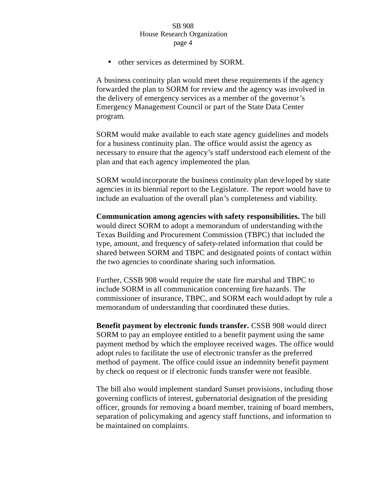• other services as determined by SORM.

A business continuity plan would meet these requirements if the agency forwarded the plan to SORM for review and the agency was involved in the delivery of emergency services as a member of the governor's Emergency Management Council or part of the State Data Center program.

SORM would make available to each state agency guidelines and models for a business continuity plan. The office would assist the agency as necessary to ensure that the agency's staff understood each element of the plan and that each agency implemented the plan.

SORM would incorporate the business continuity plan deve loped by state agencies in its biennial report to the Legislature. The report would have to include an evaluation of the overall plan's completeness and viability.

**Communication among agencies with safety responsibilities.** The bill would direct SORM to adopt a memorandum of understanding with the Texas Building and Procurement Commission (TBPC) that included the type, amount, and frequency of safety-related information that could be shared between SORM and TBPC and designated points of contact within the two agencies to coordinate sharing such information.

Further, CSSB 908 would require the state fire marshal and TBPC to include SORM in all communication concerning fire hazards. The commissioner of insurance, TBPC, and SORM each would adopt by rule a memorandum of understanding that coordinated these duties.

**Benefit payment by electronic funds transfer.** CSSB 908 would direct SORM to pay an employee entitled to a benefit payment using the same payment method by which the employee received wages. The office would adopt rules to facilitate the use of electronic transfer as the preferred method of payment. The office could issue an indemnity benefit payment by check on request or if electronic funds transfer were not feasible.

The bill also would implement standard Sunset provisions, including those governing conflicts of interest, gubernatorial designation of the presiding officer, grounds for removing a board member, training of board members, separation of policymaking and agency staff functions, and information to be maintained on complaints.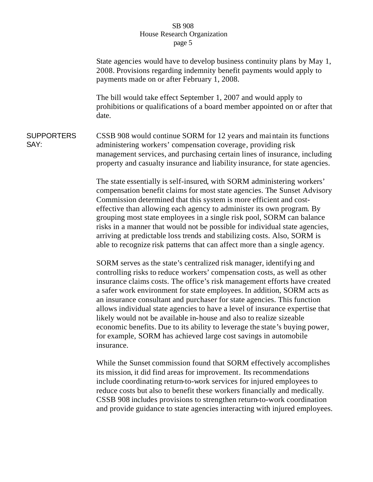State agencies would have to develop business continuity plans by May 1, 2008. Provisions regarding indemnity benefit payments would apply to payments made on or after February 1, 2008. The bill would take effect September 1, 2007 and would apply to prohibitions or qualifications of a board member appointed on or after that date. **SUPPORTERS** SAY: CSSB 908 would continue SORM for 12 years and mai ntain its functions administering workers' compensation coverage, providing risk management services, and purchasing certain lines of insurance, including property and casualty insurance and liability insurance, for state agencies. The state essentially is self-insured, with SORM administering workers' compensation benefit claims for most state agencies. The Sunset Advisory Commission determined that this system is more efficient and costeffective than allowing each agency to administer its own program. By grouping most state employees in a single risk pool, SORM can balance risks in a manner that would not be possible for individual state agencies, arriving at predictable loss trends and stabilizing costs. Also, SORM is able to recognize risk patterns that can affect more than a single agency. SORM serves as the state's centralized risk manager, identifyi ng and controlling risks to reduce workers' compensation costs, as well as other insurance claims costs. The office's risk management efforts have created a safer work environment for state employees. In addition, SORM acts as an insurance consultant and purchaser for state agencies. This function allows individual state agencies to have a level of insurance expertise that likely would not be available in-house and also to realize sizeable economic benefits. Due to its ability to leverage the state's buying power, for example, SORM has achieved large cost savings in automobile insurance.

While the Sunset commission found that SORM effectively accomplishes its mission, it did find areas for improvement. Its recommendations include coordinating return-to-work services for injured employees to reduce costs but also to benefit these workers financially and medically. CSSB 908 includes provisions to strengthen return-to-work coordination and provide guidance to state agencies interacting with injured employees.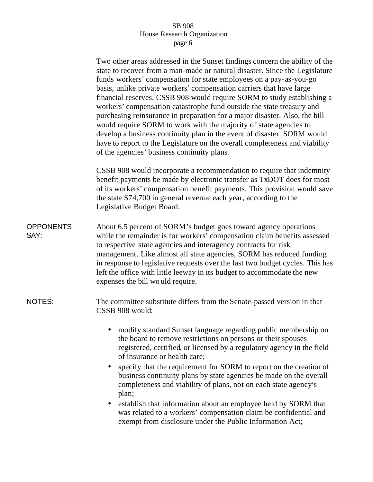|                          | Two other areas addressed in the Sunset findings concern the ability of the<br>state to recover from a man-made or natural disaster. Since the Legislature<br>funds workers' compensation for state employees on a pay-as-you-go<br>basis, unlike private workers' compensation carriers that have large<br>financial reserves, CSSB 908 would require SORM to study establishing a<br>workers' compensation catastrophe fund outside the state treasury and<br>purchasing reinsurance in preparation for a major disaster. Also, the bill<br>would require SORM to work with the majority of state agencies to<br>develop a business continuity plan in the event of disaster. SORM would<br>have to report to the Legislature on the overall completeness and viability<br>of the agencies' business continuity plans. |  |  |  |
|--------------------------|--------------------------------------------------------------------------------------------------------------------------------------------------------------------------------------------------------------------------------------------------------------------------------------------------------------------------------------------------------------------------------------------------------------------------------------------------------------------------------------------------------------------------------------------------------------------------------------------------------------------------------------------------------------------------------------------------------------------------------------------------------------------------------------------------------------------------|--|--|--|
|                          | CSSB 908 would incorporate a recommendation to require that indemnity<br>benefit payments be made by electronic transfer as TxDOT does for most<br>of its workers' compensation benefit payments. This provision would save<br>the state \$74,700 in general revenue each year, according to the<br>Legislative Budget Board.                                                                                                                                                                                                                                                                                                                                                                                                                                                                                            |  |  |  |
| <b>OPPONENTS</b><br>SAY: | About 6.5 percent of SORM's budget goes toward agency operations<br>while the remainder is for workers' compensation claim benefits assessed<br>to respective state agencies and interagency contracts for risk<br>management. Like almost all state agencies, SORM has reduced funding<br>in response to legislative requests over the last two budget cycles. This has<br>left the office with little leeway in its budget to accommodate the new<br>expenses the bill wo uld require.                                                                                                                                                                                                                                                                                                                                 |  |  |  |
| NOTES:                   | The committee substitute differs from the Senate-passed version in that<br>CSSB 908 would:                                                                                                                                                                                                                                                                                                                                                                                                                                                                                                                                                                                                                                                                                                                               |  |  |  |
|                          | modify standard Sunset language regarding public membership on<br>the board to remove restrictions on persons or their spouses<br>registered, certified, or licensed by a regulatory agency in the field<br>of insurance or health care;<br>specify that the requirement for SORM to report on the creation of<br>$\bullet$<br>business continuity plans by state agencies be made on the overall<br>completeness and viability of plans, not on each state agency's<br>plan;<br>establish that information about an employee held by SORM that                                                                                                                                                                                                                                                                          |  |  |  |

was related to a workers' compensation claim be confidential and exempt from disclosure under the Public Information Act;